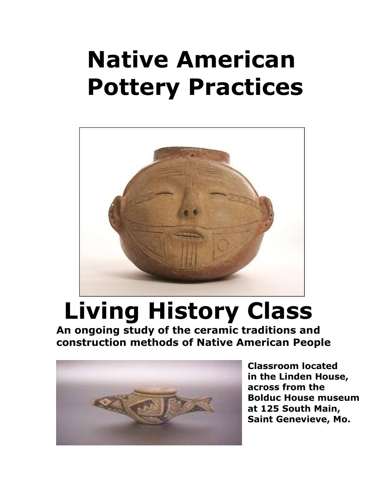## **Native American Pottery Practices**



## **Living History Class**

**An ongoing study of the ceramic traditions and construction methods of Native American People**



**Classroom located in the Linden House, across from the Bolduc House museum at 125 South Main, Saint Genevieve, Mo.**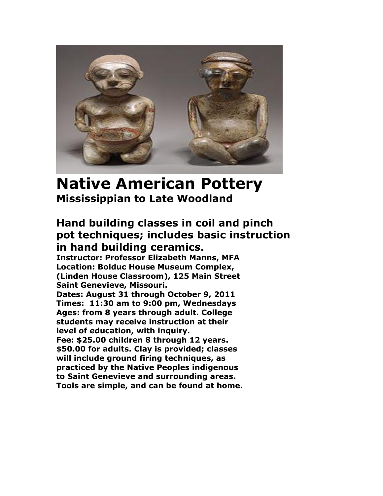

## **Native American Pottery Mississippian to Late Woodland**

## **Hand building classes in coil and pinch pot techniques; includes basic instruction in hand building ceramics.**

**Instructor: Professor Elizabeth Manns, MFA Location: Bolduc House Museum Complex, (Linden House Classroom), 125 Main Street Saint Genevieve, Missouri.**

**Dates: August 31 through October 9, 2011 Times: 11:30 am to 9:00 pm, Wednesdays Ages: from 8 years through adult. College students may receive instruction at their level of education, with inquiry.**

**Fee: \$25.00 children 8 through 12 years. \$50.00 for adults. Clay is provided; classes will include ground firing techniques, as practiced by the Native Peoples indigenous to Saint Genevieve and surrounding areas. Tools are simple, and can be found at home.**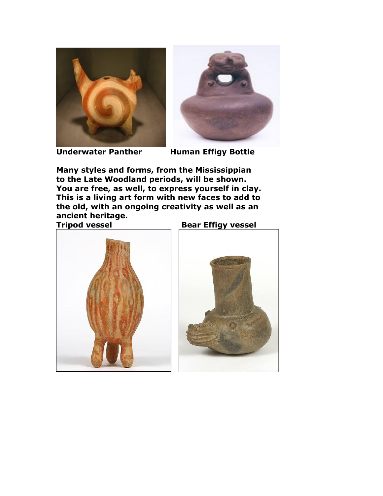



**Underwater Panther Human Effigy Bottle** 

**Many styles and forms, from the Mississippian to the Late Woodland periods, will be shown. You are free, as well, to express yourself in clay. This is a living art form with new faces to add to the old, with an ongoing creativity as well as an ancient heritage.**

**Tripod vessel Bear Effigy vessel**



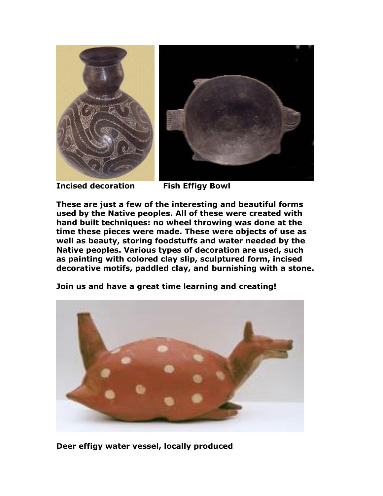

**Incised decoration Fish Effigy Bowl**



**These are just a few of the interesting and beautiful forms used by the Native peoples. All of these were created with hand built techniques: no wheel throwing was done at the time these pieces were made. These were objects of use as well as beauty, storing foodstuffs and water needed by the Native peoples. Various types of decoration are used, such as painting with colored clay slip, sculptured form, incised decorative motifs, paddled clay, and burnishing with a stone.**

**Join us and have a great time learning and creating!**

**Deer effigy water vessel, locally produced**